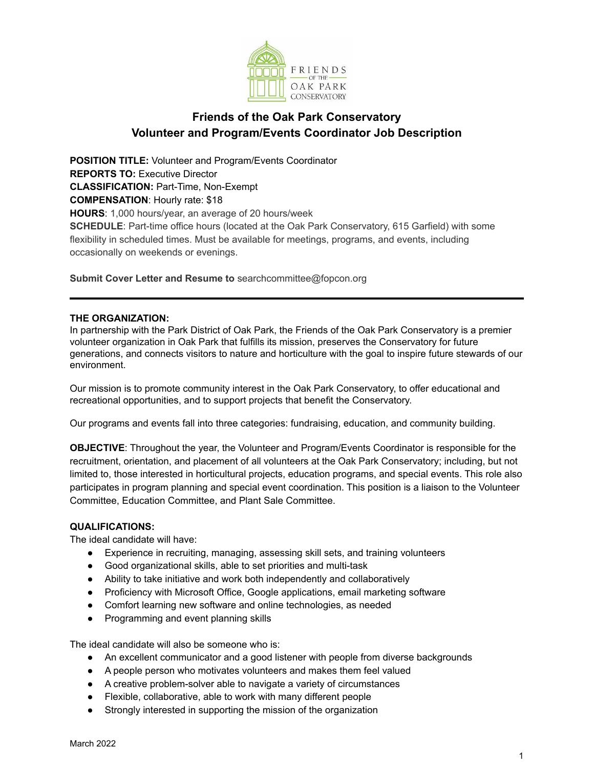

## **Friends of the Oak Park Conservatory Volunteer and Program/Events Coordinator Job Description**

**POSITION TITLE:** Volunteer and Program/Events Coordinator **REPORTS TO:** Executive Director **CLASSIFICATION:** Part-Time, Non-Exempt **COMPENSATION**: Hourly rate: \$18 **HOURS**: 1,000 hours/year, an average of 20 hours/week **SCHEDULE**: Part-time office hours (located at the Oak Park Conservatory, 615 Garfield) with some flexibility in scheduled times. Must be available for meetings, programs, and events, including occasionally on weekends or evenings.

**Submit Cover Letter and Resume to** searchcommittee@fopcon.org

## **THE ORGANIZATION:**

In partnership with the Park District of Oak Park, the Friends of the Oak Park Conservatory is a premier volunteer organization in Oak Park that fulfills its mission, preserves the Conservatory for future generations, and connects visitors to nature and horticulture with the goal to inspire future stewards of our environment.

Our mission is to promote community interest in the Oak Park Conservatory, to offer educational and recreational opportunities, and to support projects that benefit the Conservatory.

Our programs and events fall into three categories: fundraising, education, and community building.

**OBJECTIVE**: Throughout the year, the Volunteer and Program/Events Coordinator is responsible for the recruitment, orientation, and placement of all volunteers at the Oak Park Conservatory; including, but not limited to, those interested in horticultural projects, education programs, and special events. This role also participates in program planning and special event coordination. This position is a liaison to the Volunteer Committee, Education Committee, and Plant Sale Committee.

## **QUALIFICATIONS:**

The ideal candidate will have:

- Experience in recruiting, managing, assessing skill sets, and training volunteers
- Good organizational skills, able to set priorities and multi-task
- Ability to take initiative and work both independently and collaboratively
- Proficiency with Microsoft Office, Google applications, email marketing software
- Comfort learning new software and online technologies, as needed
- Programming and event planning skills

The ideal candidate will also be someone who is:

- An excellent communicator and a good listener with people from diverse backgrounds
- A people person who motivates volunteers and makes them feel valued
- A creative problem-solver able to navigate a variety of circumstances
- Flexible, collaborative, able to work with many different people
- Strongly interested in supporting the mission of the organization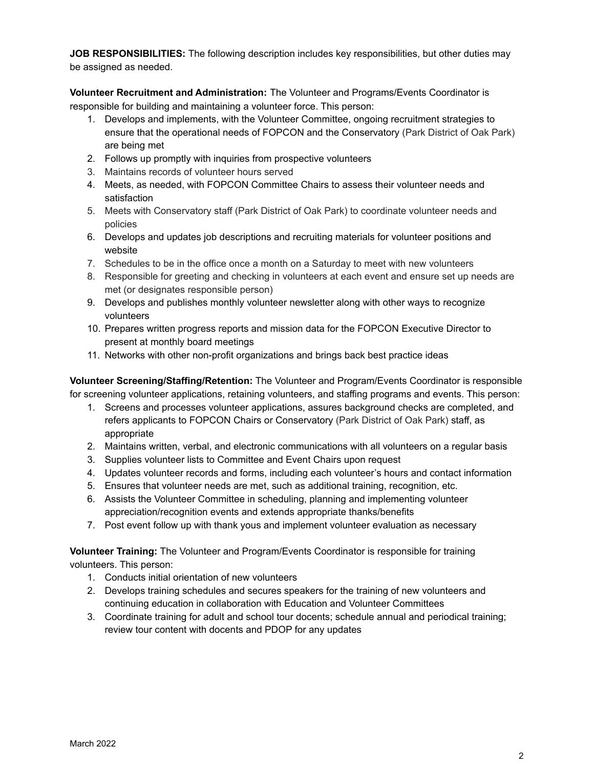**JOB RESPONSIBILITIES:** The following description includes key responsibilities, but other duties may be assigned as needed.

**Volunteer Recruitment and Administration:** The Volunteer and Programs/Events Coordinator is responsible for building and maintaining a volunteer force. This person:

- 1. Develops and implements, with the Volunteer Committee, ongoing recruitment strategies to ensure that the operational needs of FOPCON and the Conservatory (Park District of Oak Park) are being met
- 2. Follows up promptly with inquiries from prospective volunteers
- 3. Maintains records of volunteer hours served
- 4. Meets, as needed, with FOPCON Committee Chairs to assess their volunteer needs and satisfaction
- 5. Meets with Conservatory staff (Park District of Oak Park) to coordinate volunteer needs and policies
- 6. Develops and updates job descriptions and recruiting materials for volunteer positions and website
- 7. Schedules to be in the office once a month on a Saturday to meet with new volunteers
- 8. Responsible for greeting and checking in volunteers at each event and ensure set up needs are met (or designates responsible person)
- 9. Develops and publishes monthly volunteer newsletter along with other ways to recognize volunteers
- 10. Prepares written progress reports and mission data for the FOPCON Executive Director to present at monthly board meetings
- 11. Networks with other non-profit organizations and brings back best practice ideas

**Volunteer Screening/Staffing/Retention:** The Volunteer and Program/Events Coordinator is responsible for screening volunteer applications, retaining volunteers, and staffing programs and events. This person:

- 1. Screens and processes volunteer applications, assures background checks are completed, and refers applicants to FOPCON Chairs or Conservatory (Park District of Oak Park) staff, as appropriate
- 2. Maintains written, verbal, and electronic communications with all volunteers on a regular basis
- 3. Supplies volunteer lists to Committee and Event Chairs upon request
- 4. Updates volunteer records and forms, including each volunteer's hours and contact information
- 5. Ensures that volunteer needs are met, such as additional training, recognition, etc.
- 6. Assists the Volunteer Committee in scheduling, planning and implementing volunteer appreciation/recognition events and extends appropriate thanks/benefits
- 7. Post event follow up with thank yous and implement volunteer evaluation as necessary

**Volunteer Training:** The Volunteer and Program/Events Coordinator is responsible for training volunteers. This person:

- 1. Conducts initial orientation of new volunteers
- 2. Develops training schedules and secures speakers for the training of new volunteers and continuing education in collaboration with Education and Volunteer Committees
- 3. Coordinate training for adult and school tour docents; schedule annual and periodical training; review tour content with docents and PDOP for any updates